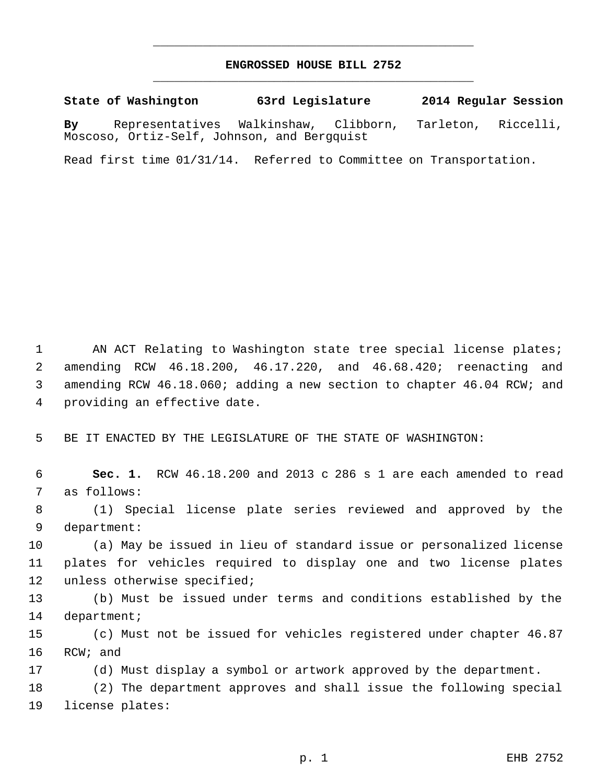## **ENGROSSED HOUSE BILL 2752** \_\_\_\_\_\_\_\_\_\_\_\_\_\_\_\_\_\_\_\_\_\_\_\_\_\_\_\_\_\_\_\_\_\_\_\_\_\_\_\_\_\_\_\_\_

\_\_\_\_\_\_\_\_\_\_\_\_\_\_\_\_\_\_\_\_\_\_\_\_\_\_\_\_\_\_\_\_\_\_\_\_\_\_\_\_\_\_\_\_\_

**State of Washington 63rd Legislature 2014 Regular Session By** Representatives Walkinshaw, Clibborn, Tarleton, Riccelli, Moscoso, Ortiz-Self, Johnson, and Bergquist

Read first time 01/31/14. Referred to Committee on Transportation.

1 AN ACT Relating to Washington state tree special license plates; amending RCW 46.18.200, 46.17.220, and 46.68.420; reenacting and amending RCW 46.18.060; adding a new section to chapter 46.04 RCW; and providing an effective date.

BE IT ENACTED BY THE LEGISLATURE OF THE STATE OF WASHINGTON:

 **Sec. 1.** RCW 46.18.200 and 2013 c 286 s 1 are each amended to read as follows:

 (1) Special license plate series reviewed and approved by the department:

 (a) May be issued in lieu of standard issue or personalized license plates for vehicles required to display one and two license plates unless otherwise specified;

 (b) Must be issued under terms and conditions established by the department;

 (c) Must not be issued for vehicles registered under chapter 46.87 RCW; and

(d) Must display a symbol or artwork approved by the department.

 (2) The department approves and shall issue the following special license plates: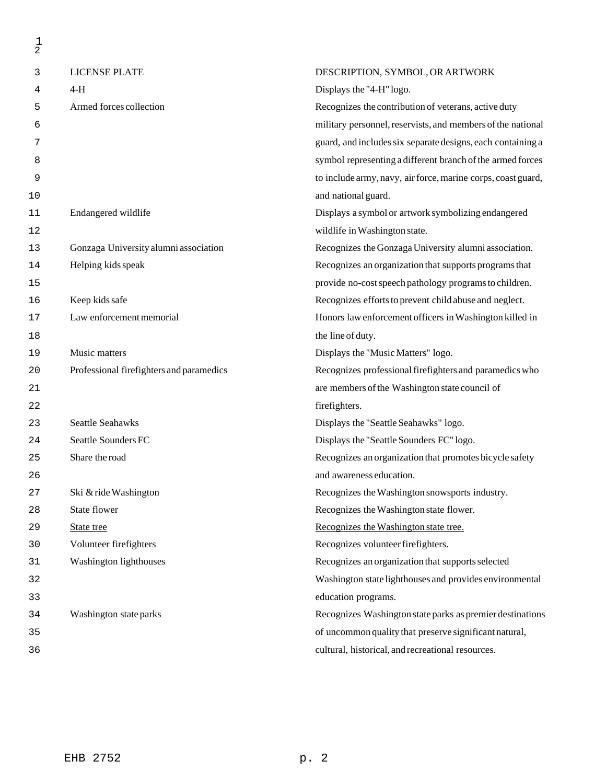| $\frac{1}{2}$ |                                          |                                                              |
|---------------|------------------------------------------|--------------------------------------------------------------|
| 3             | <b>LICENSE PLATE</b>                     | DESCRIPTION, SYMBOL, OR ARTWORK                              |
| 4             | $4-H$                                    | Displays the "4-H" logo.                                     |
| 5             | Armed forces collection                  | Recognizes the contribution of veterans, active duty         |
| 6             |                                          | military personnel, reservists, and members of the national  |
| 7             |                                          | guard, and includes six separate designs, each containing a  |
| 8             |                                          | symbol representing a different branch of the armed forces   |
| 9             |                                          | to include army, navy, air force, marine corps, coast guard, |
| 10            |                                          | and national guard.                                          |
| 11            | Endangered wildlife                      | Displays a symbol or artwork symbolizing endangered          |
| 12            |                                          | wildlife in Washington state.                                |
| 13            | Gonzaga University alumni association    | Recognizes the Gonzaga University alumni association.        |
| 14            | Helping kids speak                       | Recognizes an organization that supports programs that       |
| 15            |                                          | provide no-cost speech pathology programs to children.       |
| 16            | Keep kids safe                           | Recognizes efforts to prevent child abuse and neglect.       |
| 17            | Law enforcement memorial                 | Honors law enforcement officers in Washington killed in      |
| 18            |                                          | the line of duty.                                            |
| 19            | Music matters                            | Displays the "Music Matters" logo.                           |
| 20            | Professional firefighters and paramedics | Recognizes professional firefighters and paramedics who      |
| 21            |                                          | are members of the Washington state council of               |
| 22            |                                          | firefighters.                                                |
| 23            | <b>Seattle Seahawks</b>                  | Displays the "Seattle Seahawks" logo.                        |
| 24            | Seattle Sounders FC                      | Displays the "Seattle Sounders FC" logo.                     |
| 25            | Share the road                           | Recognizes an organization that promotes bicycle safety      |
| 26            |                                          | and awareness education.                                     |
| 27            | Ski & ride Washington                    | Recognizes the Washington snowsports industry.               |
| 28            | State flower                             | Recognizes the Washington state flower.                      |
| 29            | State tree                               | Recognizes the Washington state tree.                        |
| 30            | Volunteer firefighters                   | Recognizes volunteer firefighters.                           |
| 31            | Washington lighthouses                   | Recognizes an organization that supports selected            |
| 32            |                                          | Washington state lighthouses and provides environmental      |
| 33            |                                          | education programs.                                          |
| 34            | Washington state parks                   | Recognizes Washington state parks as premier destinations    |
| 35            |                                          | of uncommon quality that preserve significant natural,       |
| 36            |                                          | cultural, historical, and recreational resources.            |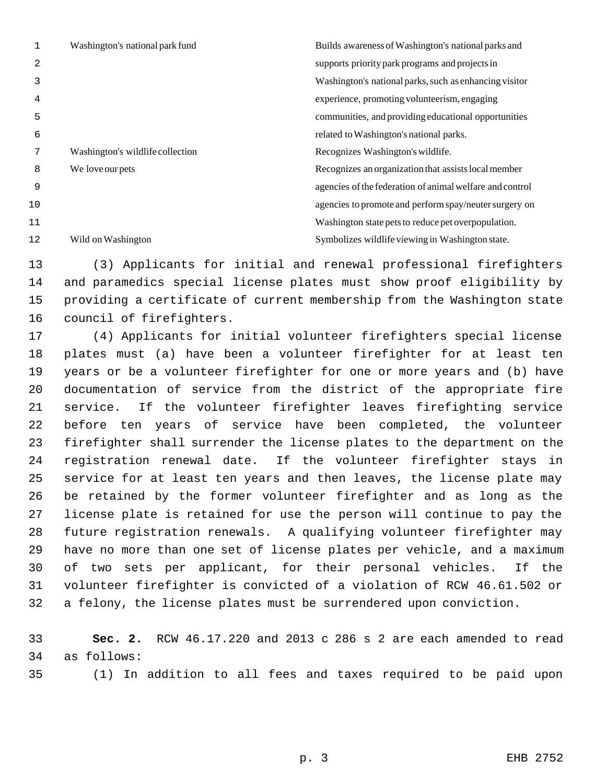|    | Washington's national park fund  | Builds awareness of Washington's national parks and      |
|----|----------------------------------|----------------------------------------------------------|
| 2  |                                  | supports priority park programs and projects in          |
| 3  |                                  | Washington's national parks, such as enhancing visitor   |
| 4  |                                  | experience, promoting volunteerism, engaging             |
| 5  |                                  | communities, and providing educational opportunities     |
| 6  |                                  | related to Washington's national parks.                  |
|    | Washington's wildlife collection | Recognizes Washington's wildlife.                        |
| 8  | We love our pets                 | Recognizes an organization that assists local member     |
| 9  |                                  | agencies of the federation of animal welfare and control |
| 10 |                                  | agencies to promote and perform spay/neuter surgery on   |
| 11 |                                  | Washington state pets to reduce pet overpopulation.      |
| 12 | Wild on Washington               | Symbolizes wildlife viewing in Washington state.         |

 (3) Applicants for initial and renewal professional firefighters and paramedics special license plates must show proof eligibility by providing a certificate of current membership from the Washington state council of firefighters.

 (4) Applicants for initial volunteer firefighters special license plates must (a) have been a volunteer firefighter for at least ten years or be a volunteer firefighter for one or more years and (b) have documentation of service from the district of the appropriate fire service. If the volunteer firefighter leaves firefighting service before ten years of service have been completed, the volunteer firefighter shall surrender the license plates to the department on the registration renewal date. If the volunteer firefighter stays in service for at least ten years and then leaves, the license plate may be retained by the former volunteer firefighter and as long as the license plate is retained for use the person will continue to pay the future registration renewals. A qualifying volunteer firefighter may have no more than one set of license plates per vehicle, and a maximum of two sets per applicant, for their personal vehicles. If the volunteer firefighter is convicted of a violation of RCW 46.61.502 or a felony, the license plates must be surrendered upon conviction.

 **Sec. 2.** RCW 46.17.220 and 2013 c 286 s 2 are each amended to read as follows:

(1) In addition to all fees and taxes required to be paid upon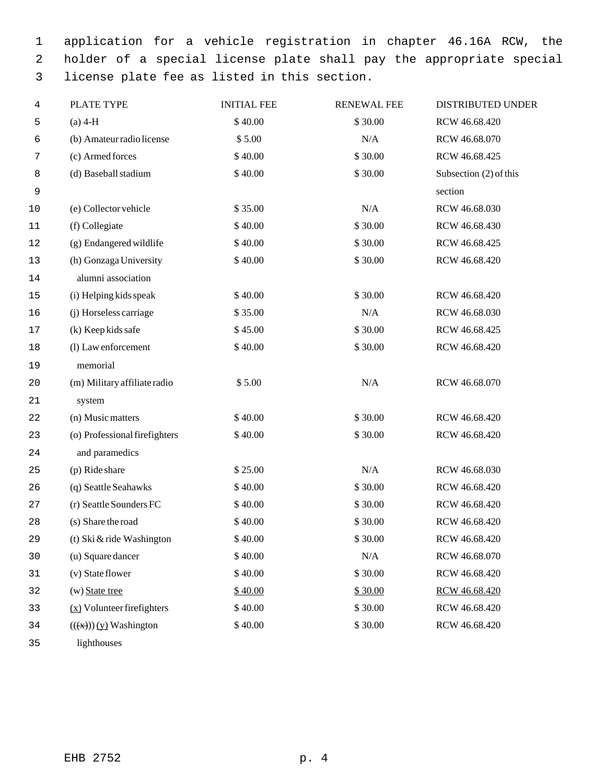application for a vehicle registration in chapter 46.16A RCW, the holder of a special license plate shall pay the appropriate special license plate fee as listed in this section.

| 4  | PLATE TYPE                       | <b>INITIAL FEE</b> | <b>RENEWAL FEE</b> | <b>DISTRIBUTED UNDER</b> |
|----|----------------------------------|--------------------|--------------------|--------------------------|
| 5  | $(a)$ 4-H                        | \$40.00            | \$30.00            | RCW 46.68.420            |
| 6  | (b) Amateur radio license        | \$5.00             | N/A                | RCW 46.68.070            |
| 7  | (c) Armed forces                 | \$40.00            | \$30.00            | RCW 46.68.425            |
| 8  | (d) Baseball stadium             | \$40.00            | \$30.00            | Subsection (2) of this   |
| 9  |                                  |                    |                    | section                  |
| 10 | (e) Collector vehicle            | \$35.00            | N/A                | RCW 46.68.030            |
| 11 | (f) Collegiate                   | \$40.00            | \$30.00            | RCW 46.68.430            |
| 12 | (g) Endangered wildlife          | \$40.00            | \$30.00            | RCW 46.68.425            |
| 13 | (h) Gonzaga University           | \$40.00            | \$30.00            | RCW 46.68.420            |
| 14 | alumni association               |                    |                    |                          |
| 15 | (i) Helping kids speak           | \$40.00            | \$30.00            | RCW 46.68.420            |
| 16 | (j) Horseless carriage           | \$35.00            | N/A                | RCW 46.68.030            |
| 17 | (k) Keep kids safe               | \$45.00            | \$30.00            | RCW 46.68.425            |
| 18 | (l) Law enforcement              | \$40.00            | \$30.00            | RCW 46.68.420            |
| 19 | memorial                         |                    |                    |                          |
| 20 | (m) Military affiliate radio     | \$5.00             | N/A                | RCW 46.68.070            |
| 21 | system                           |                    |                    |                          |
| 22 | (n) Music matters                | \$40.00            | \$30.00            | RCW 46.68.420            |
| 23 | (o) Professional firefighters    | \$40.00            | \$30.00            | RCW 46.68.420            |
| 24 | and paramedics                   |                    |                    |                          |
| 25 | (p) Ride share                   | \$25.00            | N/A                | RCW 46.68.030            |
| 26 | (q) Seattle Seahawks             | \$40.00            | \$30.00            | RCW 46.68.420            |
| 27 | (r) Seattle Sounders FC          | \$40.00            | \$30.00            | RCW 46.68.420            |
| 28 | (s) Share the road               | \$40.00            | \$30.00            | RCW 46.68.420            |
| 29 | (t) Ski $&$ ride Washington      | \$40.00            | \$30.00            | RCW 46.68.420            |
| 30 | (u) Square dancer                | \$40.00            | $\rm N/A$          | RCW 46.68.070            |
| 31 | (v) State flower                 | \$40.00            | \$30.00            | RCW 46.68.420            |
| 32 | $(w)$ State tree                 | \$40.00            | \$30.00            | RCW 46.68.420            |
| 33 | $(x)$ Volunteer firefighters     | \$40.00            | \$30.00            | RCW 46.68.420            |
| 34 | $((\mathbf{x}))) (y)$ Washington | \$40.00            | \$30.00            | RCW 46.68.420            |
| 35 | lighthouses                      |                    |                    |                          |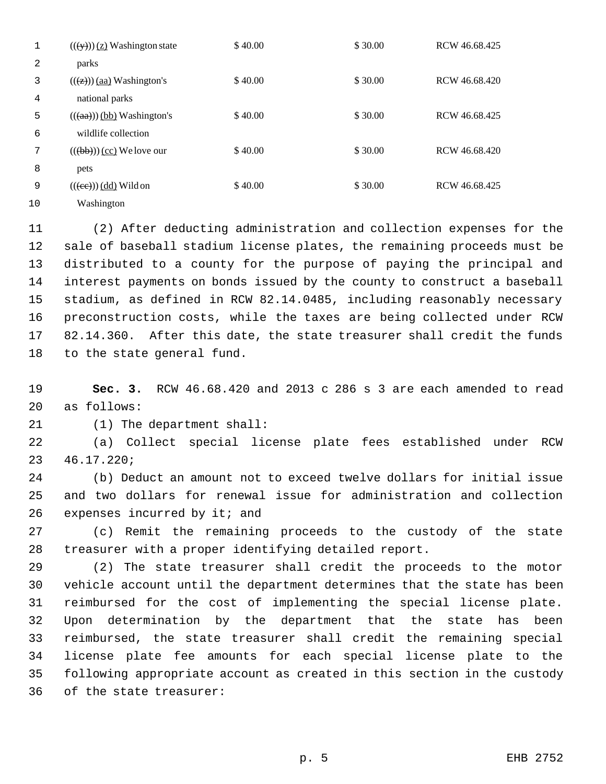|    | $((\forall y))$ (z) Washington state                     | \$40.00 | \$30.00 | RCW 46.68.425 |
|----|----------------------------------------------------------|---------|---------|---------------|
| 2  | parks                                                    |         |         |               |
| 3  | $((\overline{(z)}))$ (aa) Washington's                   | \$40.00 | \$30.00 | RCW 46.68.420 |
| 4  | national parks                                           |         |         |               |
| 5  | $((aa))$ (bb) Washington's                               | \$40.00 | \$30.00 | RCW 46.68.425 |
| 6  | wildlife collection                                      |         |         |               |
| 7  | $((\left(\overline{\text{bb}}\right)))$ (cc) We love our | \$40.00 | \$30.00 | RCW 46.68.420 |
| 8  | pets                                                     |         |         |               |
| 9  | $((ee))$ (dd) Wild on                                    | \$40.00 | \$30.00 | RCW 46.68.425 |
| 10 | Washington                                               |         |         |               |

 (2) After deducting administration and collection expenses for the sale of baseball stadium license plates, the remaining proceeds must be distributed to a county for the purpose of paying the principal and interest payments on bonds issued by the county to construct a baseball stadium, as defined in RCW 82.14.0485, including reasonably necessary preconstruction costs, while the taxes are being collected under RCW 82.14.360. After this date, the state treasurer shall credit the funds to the state general fund.

 **Sec. 3.** RCW 46.68.420 and 2013 c 286 s 3 are each amended to read as follows:

(1) The department shall:

 (a) Collect special license plate fees established under RCW 46.17.220;

 (b) Deduct an amount not to exceed twelve dollars for initial issue and two dollars for renewal issue for administration and collection 26 expenses incurred by it; and

 (c) Remit the remaining proceeds to the custody of the state treasurer with a proper identifying detailed report.

 (2) The state treasurer shall credit the proceeds to the motor vehicle account until the department determines that the state has been reimbursed for the cost of implementing the special license plate. Upon determination by the department that the state has been reimbursed, the state treasurer shall credit the remaining special license plate fee amounts for each special license plate to the following appropriate account as created in this section in the custody of the state treasurer: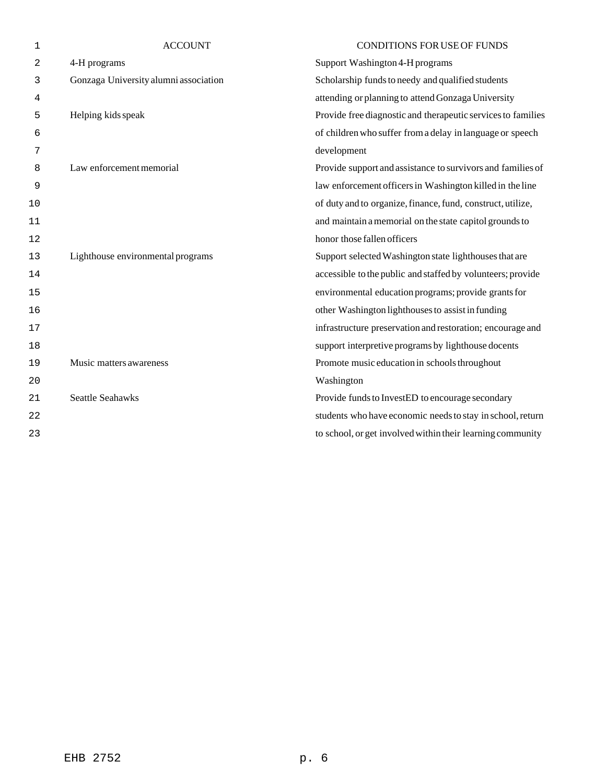| $\mathbf 1$ | <b>ACCOUNT</b>                        | <b>CONDITIONS FOR USE OF FUNDS</b>                           |
|-------------|---------------------------------------|--------------------------------------------------------------|
| 2           | 4-H programs                          | Support Washington 4-H programs                              |
| 3           | Gonzaga University alumni association | Scholarship funds to needy and qualified students            |
| 4           |                                       | attending or planning to attend Gonzaga University           |
| 5           | Helping kids speak                    | Provide free diagnostic and therapeutic services to families |
| 6           |                                       | of children who suffer from a delay in language or speech    |
| 7           |                                       | development                                                  |
| 8           | Law enforcement memorial              | Provide support and assistance to survivors and families of  |
| 9           |                                       | law enforcement officers in Washington killed in the line    |
| 10          |                                       | of duty and to organize, finance, fund, construct, utilize,  |
| 11          |                                       | and maintain a memorial on the state capitol grounds to      |
| 12          |                                       | honor those fallen officers                                  |
| 13          | Lighthouse environmental programs     | Support selected Washington state lighthouses that are       |
| 14          |                                       | accessible to the public and staffed by volunteers; provide  |
| 15          |                                       | environmental education programs; provide grants for         |
| 16          |                                       | other Washington lighthouses to assist in funding            |
| 17          |                                       | infrastructure preservation and restoration; encourage and   |
| 18          |                                       | support interpretive programs by lighthouse docents          |
| 19          | Music matters awareness               | Promote music education in schools throughout                |
| 20          |                                       | Washington                                                   |
| 21          | <b>Seattle Seahawks</b>               | Provide funds to InvestED to encourage secondary             |
| 22          |                                       | students who have economic needs to stay in school, return   |
| 23          |                                       | to school, or get involved within their learning community   |
|             |                                       |                                                              |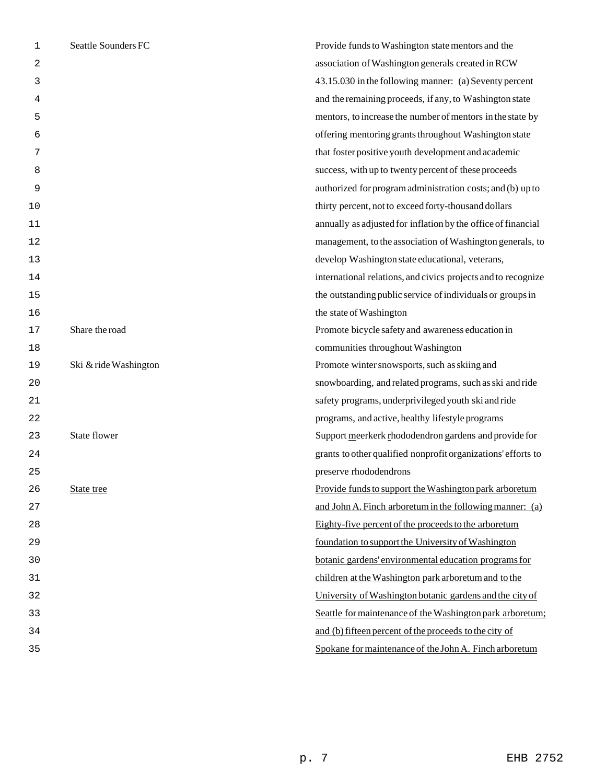| 1  | Seattle Sounders FC   | Provide funds to Washington state mentors and the             |
|----|-----------------------|---------------------------------------------------------------|
| 2  |                       | association of Washington generals created in RCW             |
| 3  |                       | 43.15.030 in the following manner: (a) Seventy percent        |
| 4  |                       | and the remaining proceeds, if any, to Washington state       |
| 5  |                       | mentors, to increase the number of mentors in the state by    |
| 6  |                       | offering mentoring grants throughout Washington state         |
| 7  |                       | that foster positive youth development and academic           |
| 8  |                       | success, with up to twenty percent of these proceeds          |
| 9  |                       | authorized for program administration costs; and (b) up to    |
| 10 |                       | thirty percent, not to exceed forty-thousand dollars          |
| 11 |                       | annually as adjusted for inflation by the office of financial |
| 12 |                       | management, to the association of Washington generals, to     |
| 13 |                       | develop Washington state educational, veterans,               |
| 14 |                       | international relations, and civics projects and to recognize |
| 15 |                       | the outstanding public service of individuals or groups in    |
| 16 |                       | the state of Washington                                       |
| 17 | Share the road        | Promote bicycle safety and awareness education in             |
| 18 |                       | communities throughout Washington                             |
| 19 | Ski & ride Washington | Promote winter snowsports, such as skiing and                 |
| 20 |                       | snowboarding, and related programs, such as ski and ride      |
| 21 |                       | safety programs, underprivileged youth ski and ride           |
| 22 |                       | programs, and active, healthy lifestyle programs              |
| 23 | <b>State flower</b>   | Support meerkerk rhododendron gardens and provide for         |
| 24 |                       | grants to other qualified nonprofit organizations' efforts to |
| 25 |                       | preserve rhododendrons                                        |
| 26 | State tree            | Provide funds to support the Washington park arboretum        |
| 27 |                       | and John A. Finch arboretum in the following manner: (a)      |
| 28 |                       | Eighty-five percent of the proceeds to the arboretum          |
| 29 |                       | foundation to support the University of Washington            |
| 30 |                       | botanic gardens' environmental education programs for         |
| 31 |                       | children at the Washington park arboretum and to the          |
| 32 |                       | University of Washington botanic gardens and the city of      |
| 33 |                       | Seattle for maintenance of the Washington park arboretum;     |
| 34 |                       | and (b) fifteen percent of the proceeds to the city of        |
| 35 |                       | Spokane for maintenance of the John A. Finch arboretum        |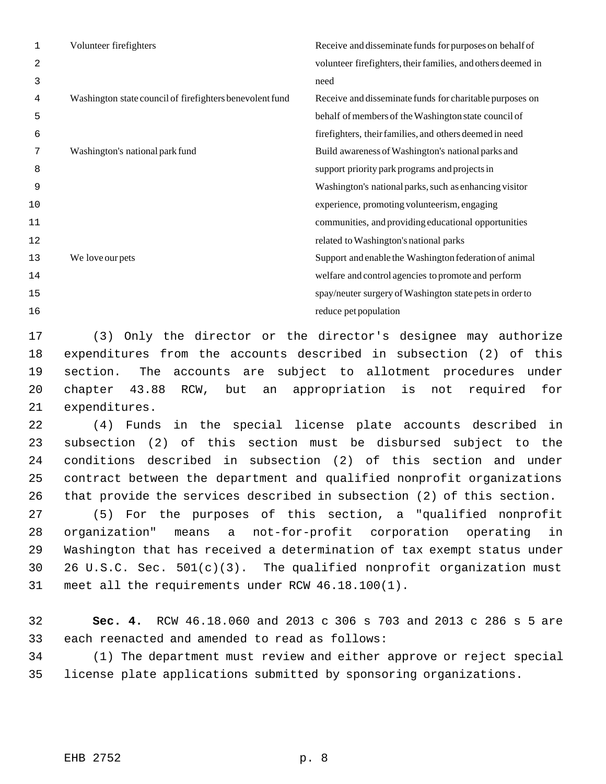| 1  | Volunteer firefighters                                   | Receive and disseminate funds for purposes on behalf of      |
|----|----------------------------------------------------------|--------------------------------------------------------------|
| 2  |                                                          | volunteer firefighters, their families, and others deemed in |
| 3  |                                                          | need                                                         |
| 4  | Washington state council of firefighters benevolent fund | Receive and disseminate funds for charitable purposes on     |
| 5  |                                                          | behalf of members of the Washington state council of         |
| 6  |                                                          | firefighters, their families, and others deemed in need      |
| 7  | Washington's national park fund                          | Build awareness of Washington's national parks and           |
| 8  |                                                          | support priority park programs and projects in               |
| 9  |                                                          | Washington's national parks, such as enhancing visitor       |
| 10 |                                                          | experience, promoting volunteerism, engaging                 |
| 11 |                                                          | communities, and providing educational opportunities         |
| 12 |                                                          | related to Washington's national parks                       |
| 13 | We love our pets                                         | Support and enable the Washington federation of animal       |
| 14 |                                                          | welfare and control agencies to promote and perform          |
| 15 |                                                          | spay/neuter surgery of Washington state pets in order to     |
| 16 |                                                          | reduce pet population                                        |

 (3) Only the director or the director's designee may authorize expenditures from the accounts described in subsection (2) of this section. The accounts are subject to allotment procedures under chapter 43.88 RCW, but an appropriation is not required for expenditures.

 (4) Funds in the special license plate accounts described in subsection (2) of this section must be disbursed subject to the conditions described in subsection (2) of this section and under contract between the department and qualified nonprofit organizations that provide the services described in subsection (2) of this section.

 (5) For the purposes of this section, a "qualified nonprofit organization" means a not-for-profit corporation operating in Washington that has received a determination of tax exempt status under 26 U.S.C. Sec. 501(c)(3). The qualified nonprofit organization must meet all the requirements under RCW 46.18.100(1).

 **Sec. 4.** RCW 46.18.060 and 2013 c 306 s 703 and 2013 c 286 s 5 are each reenacted and amended to read as follows:

 (1) The department must review and either approve or reject special license plate applications submitted by sponsoring organizations.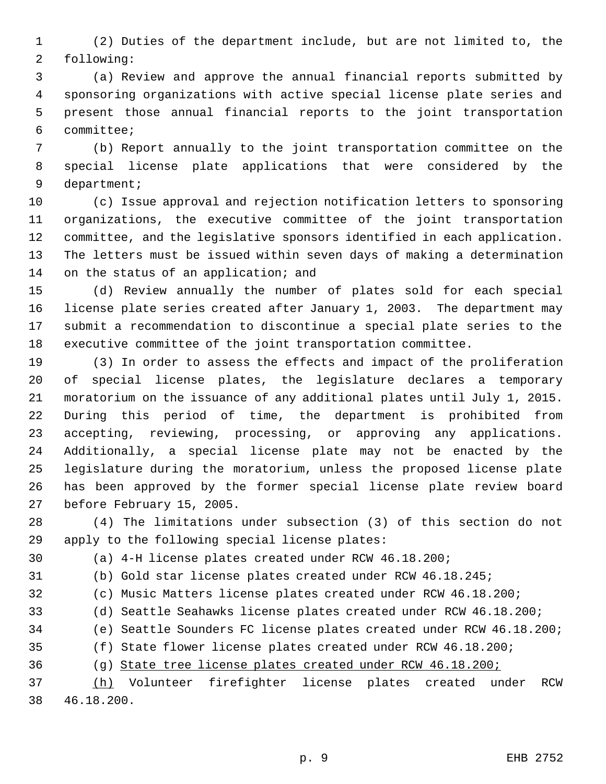(2) Duties of the department include, but are not limited to, the following:

 (a) Review and approve the annual financial reports submitted by sponsoring organizations with active special license plate series and present those annual financial reports to the joint transportation committee;

 (b) Report annually to the joint transportation committee on the special license plate applications that were considered by the department;

 (c) Issue approval and rejection notification letters to sponsoring organizations, the executive committee of the joint transportation committee, and the legislative sponsors identified in each application. The letters must be issued within seven days of making a determination 14 on the status of an application; and

 (d) Review annually the number of plates sold for each special license plate series created after January 1, 2003. The department may submit a recommendation to discontinue a special plate series to the executive committee of the joint transportation committee.

 (3) In order to assess the effects and impact of the proliferation of special license plates, the legislature declares a temporary moratorium on the issuance of any additional plates until July 1, 2015. During this period of time, the department is prohibited from accepting, reviewing, processing, or approving any applications. Additionally, a special license plate may not be enacted by the legislature during the moratorium, unless the proposed license plate has been approved by the former special license plate review board before February 15, 2005.

 (4) The limitations under subsection (3) of this section do not apply to the following special license plates:

(a) 4-H license plates created under RCW 46.18.200;

(b) Gold star license plates created under RCW 46.18.245;

(c) Music Matters license plates created under RCW 46.18.200;

(d) Seattle Seahawks license plates created under RCW 46.18.200;

(e) Seattle Sounders FC license plates created under RCW 46.18.200;

(f) State flower license plates created under RCW 46.18.200;

(g) State tree license plates created under RCW 46.18.200;

 (h) Volunteer firefighter license plates created under RCW 46.18.200.